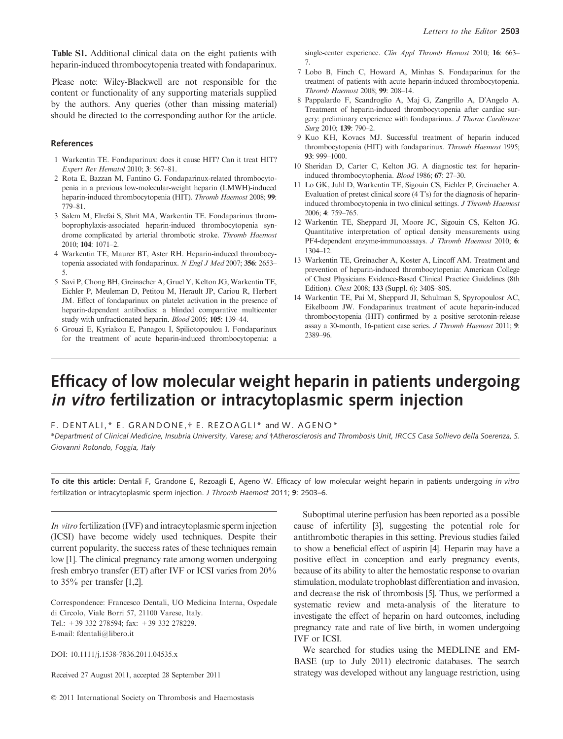Table S1. Additional clinical data on the eight patients with heparin-induced thrombocytopenia treated with fondaparinux.

Please note: Wiley-Blackwell are not responsible for the content or functionality of any supporting materials supplied by the authors. Any queries (other than missing material) should be directed to the corresponding author for the article.

### References

- 1 Warkentin TE. Fondaparinux: does it cause HIT? Can it treat HIT? Expert Rev Hematol 2010; 3: 567–81.
- 2 Rota E, Bazzan M, Fantino G. Fondaparinux-related thrombocytopenia in a previous low-molecular-weight heparin (LMWH)-induced heparin-induced thrombocytopenia (HIT). Thromb Haemost 2008; 99: 779–81.
- 3 Salem M, Elrefai S, Shrit MA, Warkentin TE. Fondaparinux thromboprophylaxis-associated heparin-induced thrombocytopenia syndrome complicated by arterial thrombotic stroke. Thromb Haemost  $2010 \cdot 104 \cdot 1071 - 2$ .
- 4 Warkentin TE, Maurer BT, Aster RH. Heparin-induced thrombocytopenia associated with fondaparinux. N Engl J Med 2007; 356: 2653– 5.
- 5 Savi P, Chong BH, Greinacher A, Gruel Y, Kelton JG, Warkentin TE, Eichler P, Meuleman D, Petitou M, Herault JP, Cariou R, Herbert JM. Effect of fondaparinux on platelet activation in the presence of heparin-dependent antibodies: a blinded comparative multicenter study with unfractionated heparin. Blood 2005; 105: 139–44.
- 6 Grouzi E, Kyriakou E, Panagou I, Spiliotopoulou I. Fondaparinux for the treatment of acute heparin-induced thrombocytopenia: a

single-center experience. Clin Appl Thromb Hemost 2010; 16: 663– 7.

- 7 Lobo B, Finch C, Howard A, Minhas S. Fondaparinux for the treatment of patients with acute heparin-induced thrombocytopenia. Thromb Haemost 2008; 99: 208–14.
- 8 Pappalardo F, Scandroglio A, Maj G, Zangrillo A, D'Angelo A. Treatment of heparin-induced thrombocytopenia after cardiac surgery: preliminary experience with fondaparinux. J Thorac Cardiovasc Surg 2010; 139: 790–2.
- 9 Kuo KH, Kovacs MJ. Successful treatment of heparin induced thrombocytopenia (HIT) with fondaparinux. Thromb Haemost 1995; 93: 999–1000.
- 10 Sheridan D, Carter C, Kelton JG. A diagnostic test for heparininduced thrombocytophenia. Blood 1986; 67: 27–30.
- 11 Lo GK, Juhl D, Warkentin TE, Sigouin CS, Eichler P, Greinacher A. Evaluation of pretest clinical score  $(4 T<sub>s</sub>)$  for the diagnosis of heparininduced thrombocytopenia in two clinical settings. J Thromb Haemost 2006; 4: 759–765.
- 12 Warkentin TE, Sheppard JI, Moore JC, Sigouin CS, Kelton JG. Quantitative interpretation of optical density measurements using PF4-dependent enzyme-immunoassays. J Thromb Haemost 2010; 6: 1304–12.
- 13 Warkentin TE, Greinacher A, Koster A, Lincoff AM. Treatment and prevention of heparin-induced thrombocytopenia: American College of Chest Physicians Evidence-Based Clinical Practice Guidelines (8th Edition). Chest 2008; 133 (Suppl. 6): 340S–80S.
- 14 Warkentin TE, Pai M, Sheppard JI, Schulman S, Spyropoulosr AC, Eikelboom JW. Fondaparinux treatment of acute heparin-induced thrombocytopenia (HIT) confirmed by a positive serotonin-release assay a 30-month, 16-patient case series. J Thromb Haemost 2011; 9: 2389–96.

# Efficacy of low molecular weight heparin in patients undergoing in vitro fertilization or intracytoplasmic sperm injection

F. DENTALI,\* E. GRANDONE, † E. REZOAGLI\* and W. AGENO\*

\*Department of Clinical Medicine, Insubria University, Varese; and Atherosclerosis and Thrombosis Unit, IRCCS Casa Sollievo della Soerenza, S. Giovanni Rotondo, Foggia, Italy

To cite this article: Dentali F, Grandone E, Rezoagli E, Ageno W. Efficacy of low molecular weight heparin in patients undergoing in vitro fertilization or intracytoplasmic sperm injection. J Thromb Haemost 2011; 9: 2503–6.

In vitro fertilization (IVF) and intracytoplasmic sperm injection (ICSI) have become widely used techniques. Despite their current popularity, the success rates of these techniques remain low [1]. The clinical pregnancy rate among women undergoing fresh embryo transfer (ET) after IVF or ICSI varies from 20% to 35% per transfer [1,2].

Correspondence: Francesco Dentali, UO Medicina Interna, Ospedale di Circolo, Viale Borri 57, 21100 Varese, Italy. Tel.: +39 332 278594; fax: +39 332 278229. E-mail: fdentali@libero.it

DOI: 10.1111/j.1538-7836.2011.04535.x

Received 27 August 2011, accepted 28 September 2011

Suboptimal uterine perfusion has been reported as a possible cause of infertility [3], suggesting the potential role for antithrombotic therapies in this setting. Previous studies failed to show a beneficial effect of aspirin [4]. Heparin may have a positive effect in conception and early pregnancy events, because of its ability to alter the hemostatic response to ovarian stimulation, modulate trophoblast differentiation and invasion, and decrease the risk of thrombosis [5]. Thus, we performed a systematic review and meta-analysis of the literature to investigate the effect of heparin on hard outcomes, including pregnancy rate and rate of live birth, in women undergoing IVF or ICSI.

We searched for studies using the MEDLINE and EM-BASE (up to July 2011) electronic databases. The search strategy was developed without any language restriction, using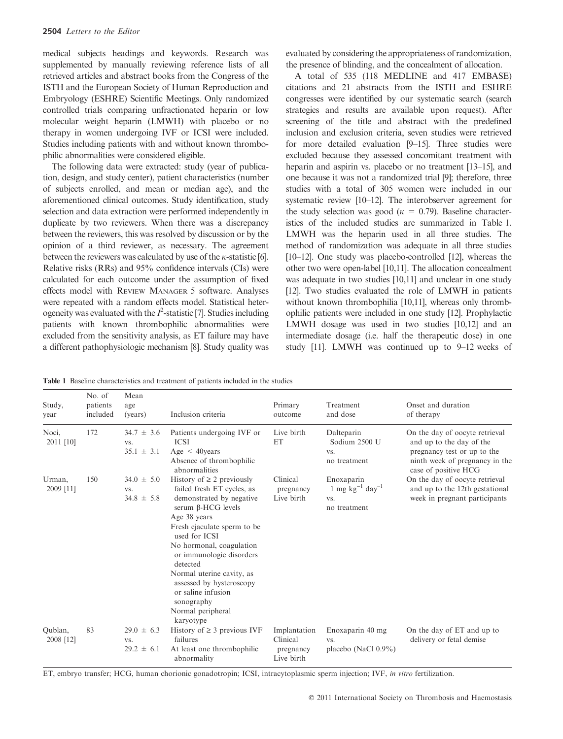medical subjects headings and keywords. Research was supplemented by manually reviewing reference lists of all retrieved articles and abstract books from the Congress of the ISTH and the European Society of Human Reproduction and Embryology (ESHRE) Scientific Meetings. Only randomized controlled trials comparing unfractionated heparin or low molecular weight heparin (LMWH) with placebo or no therapy in women undergoing IVF or ICSI were included. Studies including patients with and without known thrombophilic abnormalities were considered eligible.

The following data were extracted: study (year of publication, design, and study center), patient characteristics (number of subjects enrolled, and mean or median age), and the aforementioned clinical outcomes. Study identification, study selection and data extraction were performed independently in duplicate by two reviewers. When there was a discrepancy between the reviewers, this was resolved by discussion or by the opinion of a third reviewer, as necessary. The agreement between the reviewers was calculated by use of the  $\kappa$ -statistic [6]. Relative risks (RRs) and 95% confidence intervals (CIs) were calculated for each outcome under the assumption of fixed effects model with REVIEW MANAGER 5 software. Analyses were repeated with a random effects model. Statistical heterogeneity was evaluated with the  $I^2$ -statistic [7]. Studies including patients with known thrombophilic abnormalities were excluded from the sensitivity analysis, as ET failure may have a different pathophysiologic mechanism [8]. Study quality was evaluated by considering the appropriateness of randomization, the presence of blinding, and the concealment of allocation.

A total of 535 (118 MEDLINE and 417 EMBASE) citations and 21 abstracts from the ISTH and ESHRE congresses were identified by our systematic search (search strategies and results are available upon request). After screening of the title and abstract with the predefined inclusion and exclusion criteria, seven studies were retrieved for more detailed evaluation [9–15]. Three studies were excluded because they assessed concomitant treatment with heparin and aspirin vs. placebo or no treatment [13–15], and one because it was not a randomized trial [9]; therefore, three studies with a total of 305 women were included in our systematic review [10–12]. The interobserver agreement for the study selection was good ( $\kappa = 0.79$ ). Baseline characteristics of the included studies are summarized in Table 1. LMWH was the heparin used in all three studies. The method of randomization was adequate in all three studies [10–12]. One study was placebo-controlled [12], whereas the other two were open-label [10,11]. The allocation concealment was adequate in two studies [10,11] and unclear in one study [12]. Two studies evaluated the role of LMWH in patients without known thrombophilia [10,11], whereas only thrombophilic patients were included in one study [12]. Prophylactic LMWH dosage was used in two studies [10,12] and an intermediate dosage (i.e. half the therapeutic dose) in one study [11]. LMWH was continued up to 9–12 weeks of

Table 1 Baseline characteristics and treatment of patients included in the studies

| Study,<br>year       | No. of<br>patients<br>included | Mean<br>age<br>(years)                  | Inclusion criteria                                                                                                                                                                                                                                                                                                                                                                       | Primary<br>outcome                                  | Treatment<br>and dose                                                 | Onset and duration<br>of therapy                                                                                                                    |
|----------------------|--------------------------------|-----------------------------------------|------------------------------------------------------------------------------------------------------------------------------------------------------------------------------------------------------------------------------------------------------------------------------------------------------------------------------------------------------------------------------------------|-----------------------------------------------------|-----------------------------------------------------------------------|-----------------------------------------------------------------------------------------------------------------------------------------------------|
| Noci,<br>2011 [10]   | 172                            | $34.7 \pm 3.6$<br>VS.<br>$35.1 \pm 3.1$ | Patients undergoing IVF or<br><b>ICSI</b><br>Age $\leq$ 40 years<br>Absence of thrombophilic<br>abnormalities                                                                                                                                                                                                                                                                            | Live birth<br>ET                                    | Dalteparin<br>Sodium 2500 U<br>VS.<br>no treatment                    | On the day of oocyte retrieval<br>and up to the day of the<br>pregnancy test or up to the<br>ninth week of pregnancy in the<br>case of positive HCG |
| Urman,<br>2009 [11]  | 150                            | $34.0 \pm 5.0$<br>VS.<br>$34.8 \pm 5.8$ | History of $\geq 2$ previously<br>failed fresh ET cycles, as<br>demonstrated by negative<br>serum $\beta$ -HCG levels<br>Age 38 years<br>Fresh ejaculate sperm to be<br>used for ICSI<br>No hormonal, coagulation<br>or immunologic disorders<br>detected<br>Normal uterine cavity, as<br>assessed by hysteroscopy<br>or saline infusion<br>sonography<br>Normal peripheral<br>karyotype | Clinical<br>pregnancy<br>Live birth                 | Enoxaparin<br>1 mg $kg^{-1}$ day <sup>-1</sup><br>VS.<br>no treatment | On the day of oocyte retrieval<br>and up to the 12th gestational<br>week in pregnant participants                                                   |
| Oublan,<br>2008 [12] | 83                             | $29.0 \pm 6.3$<br>VS.<br>$29.2 \pm 6.1$ | History of $\geq$ 3 previous IVF<br>failures<br>At least one thrombophilic<br>abnormality                                                                                                                                                                                                                                                                                                | Implantation<br>Clinical<br>pregnancy<br>Live birth | Enoxaparin 40 mg<br>VS.<br>placebo (NaCl $0.9\%$ )                    | On the day of ET and up to<br>delivery or fetal demise                                                                                              |

ET, embryo transfer; HCG, human chorionic gonadotropin; ICSI, intracytoplasmic sperm injection; IVF, in vitro fertilization.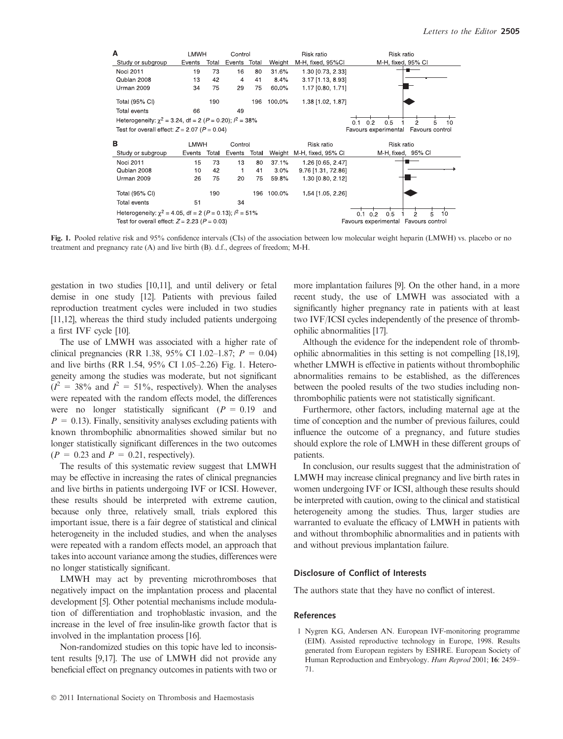

Fig. 1. Pooled relative risk and 95% confidence intervals (CIs) of the association between low molecular weight heparin (LMWH) vs. placebo or no treatment and pregnancy rate (A) and live birth (B). d.f., degrees of freedom; M-H.

gestation in two studies [10,11], and until delivery or fetal demise in one study [12]. Patients with previous failed reproduction treatment cycles were included in two studies [11,12], whereas the third study included patients undergoing a first IVF cycle [10].

The use of LMWH was associated with a higher rate of clinical pregnancies (RR 1.38, 95% CI 1.02–1.87;  $P = 0.04$ ) and live births (RR 1.54, 95% CI 1.05–2.26) Fig. 1. Heterogeneity among the studies was moderate, but not significant  $(I^2 = 38\%$  and  $I^2 = 51\%$ , respectively). When the analyses were repeated with the random effects model, the differences were no longer statistically significant ( $P = 0.19$  and  $P = 0.13$ . Finally, sensitivity analyses excluding patients with known thrombophilic abnormalities showed similar but no longer statistically significant differences in the two outcomes  $(P = 0.23$  and  $P = 0.21$ , respectively).

The results of this systematic review suggest that LMWH may be effective in increasing the rates of clinical pregnancies and live births in patients undergoing IVF or ICSI. However, these results should be interpreted with extreme caution, because only three, relatively small, trials explored this important issue, there is a fair degree of statistical and clinical heterogeneity in the included studies, and when the analyses were repeated with a random effects model, an approach that takes into account variance among the studies, differences were no longer statistically significant.

LMWH may act by preventing microthromboses that negatively impact on the implantation process and placental development [5]. Other potential mechanisms include modulation of differentiation and trophoblastic invasion, and the increase in the level of free insulin-like growth factor that is involved in the implantation process [16].

Non-randomized studies on this topic have led to inconsistent results [9,17]. The use of LMWH did not provide any beneficial effect on pregnancy outcomes in patients with two or

 $© 2011 International Society on Thrombosis and Haemostasis$ 

more implantation failures [9]. On the other hand, in a more recent study, the use of LMWH was associated with a significantly higher pregnancy rate in patients with at least two IVF/ICSI cycles independently of the presence of thrombophilic abnormalities [17].

Although the evidence for the independent role of thrombophilic abnormalities in this setting is not compelling [18,19], whether LMWH is effective in patients without thrombophilic abnormalities remains to be established, as the differences between the pooled results of the two studies including nonthrombophilic patients were not statistically significant.

Furthermore, other factors, including maternal age at the time of conception and the number of previous failures, could influence the outcome of a pregnancy, and future studies should explore the role of LMWH in these different groups of patients.

In conclusion, our results suggest that the administration of LMWH may increase clinical pregnancy and live birth rates in women undergoing IVF or ICSI, although these results should be interpreted with caution, owing to the clinical and statistical heterogeneity among the studies. Thus, larger studies are warranted to evaluate the efficacy of LMWH in patients with and without thrombophilic abnormalities and in patients with and without previous implantation failure.

## Disclosure of Conflict of Interests

The authors state that they have no conflict of interest.

#### References

1 Nygren KG, Andersen AN. European IVF-monitoring programme (EIM). Assisted reproductive technology in Europe, 1998. Results generated from European registers by ESHRE. European Society of Human Reproduction and Embryology. Hum Reprod 2001; 16: 2459– 71.